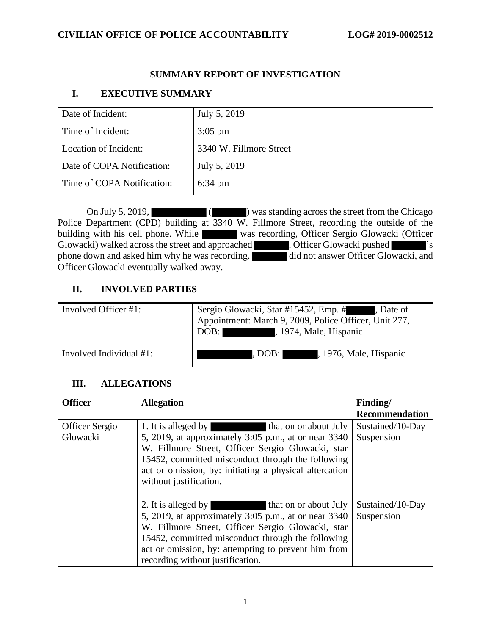# **SUMMARY REPORT OF INVESTIGATION**

# **I. EXECUTIVE SUMMARY**

| Date of Incident:          | July 5, 2019            |
|----------------------------|-------------------------|
| Time of Incident:          | $3:05$ pm               |
| Location of Incident:      | 3340 W. Fillmore Street |
| Date of COPA Notification: | July 5, 2019            |
| Time of COPA Notification: | 6:34 pm                 |

On July 5, 2019, (Chicago ) was standing across the street from the Chicago Police Department (CPD) building at  $\overline{3340}$  W. Fillmore Street, recording the outside of the building with his cell phone. While was recording, Officer Sergio Glowacki (Officer Glowacki) walked across the street and approached **accuracy**. Officer Glowacki pushed  $\sim$  <sup>8</sup>'s phone down and asked him why he was recording. did not answer Officer Glowacki, and Officer Glowacki eventually walked away.

# **II. INVOLVED PARTIES**

| Involved Officer #1:    | Sergio Glowacki, Star #15452, Emp. #, Date of<br>Appointment: March 9, 2009, Police Officer, Unit 277,<br>DOB: 1974, Male, Hispanic |
|-------------------------|-------------------------------------------------------------------------------------------------------------------------------------|
| Involved Individual #1: | , 1976, Male, Hispanic<br>, DOB: I                                                                                                  |

# **III. ALLEGATIONS**

| <b>Officer</b>                    | <b>Allegation</b>                                                                                                                                                                                                                                                                                         | Finding/                       |
|-----------------------------------|-----------------------------------------------------------------------------------------------------------------------------------------------------------------------------------------------------------------------------------------------------------------------------------------------------------|--------------------------------|
|                                   |                                                                                                                                                                                                                                                                                                           | <b>Recommendation</b>          |
| <b>Officer Sergio</b><br>Glowacki | 1. It is alleged by<br>that on or about July<br>5, 2019, at approximately 3:05 p.m., at or near 3340<br>W. Fillmore Street, Officer Sergio Glowacki, star<br>15452, committed misconduct through the following<br>act or omission, by: initiating a physical altercation<br>without justification.        | Sustained/10-Day<br>Suspension |
|                                   | 2. It is alleged by<br>that on or about July<br>5, 2019, at approximately 3:05 p.m., at or near 3340<br>W. Fillmore Street, Officer Sergio Glowacki, star<br>15452, committed misconduct through the following<br>act or omission, by: attempting to prevent him from<br>recording without justification. | Sustained/10-Day<br>Suspension |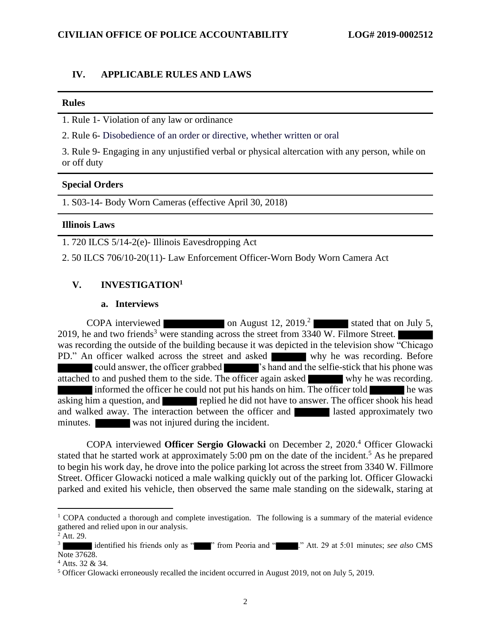#### **IV. APPLICABLE RULES AND LAWS**

#### **Rules**

1. Rule 1- Violation of any law or ordinance

2. Rule 6- Disobedience of an order or directive, whether written or oral

3. Rule 9- Engaging in any unjustified verbal or physical altercation with any person, while on or off duty

#### **Special Orders**

1. S03-14- Body Worn Cameras (effective April 30, 2018)

### **Illinois Laws**

1. 720 ILCS 5/14-2(e)- Illinois Eavesdropping Act

2. 50 ILCS 706/10-20(11)- Law Enforcement Officer-Worn Body Worn Camera Act

#### **V. INVESTIGATION<sup>1</sup>**

#### **a. Interviews**

COPA interviewed on August 12, 2019.<sup>2</sup> stated that on July 5, 2019, he and two friends<sup>3</sup> were standing across the street from 3340 W. Filmore Street. was recording the outside of the building because it was depicted in the television show "Chicago PD." An officer walked across the street and asked why he was recording. Before could answer, the officer grabbed 's hand and the selfie-stick that his phone was attached to and pushed them to the side. The officer again asked why he was recording. informed the officer he could not put his hands on him. The officer told he was asking him a question, and replied he did not have to answer. The officer shook his head and walked away. The interaction between the officer and lasted approximately two minutes. was not injured during the incident.

COPA interviewed **Officer Sergio Glowacki** on December 2, 2020.<sup>4</sup> Officer Glowacki stated that he started work at approximately 5:00 pm on the date of the incident.<sup>5</sup> As he prepared to begin his work day, he drove into the police parking lot across the street from 3340 W. Fillmore Street. Officer Glowacki noticed a male walking quickly out of the parking lot. Officer Glowacki parked and exited his vehicle, then observed the same male standing on the sidewalk, staring at

 $1$  COPA conducted a thorough and complete investigation. The following is a summary of the material evidence gathered and relied upon in our analysis.

 $2^{\frac{1}{2}}$  Att. 29.

<sup>3</sup> identified his friends only as "<sup>"</sup> from Peoria and " ." Att. 29 at 5:01 minutes; *see also* CMS Note 37628.

<sup>4</sup> Atts. 32 & 34.

<sup>5</sup> Officer Glowacki erroneously recalled the incident occurred in August 2019, not on July 5, 2019.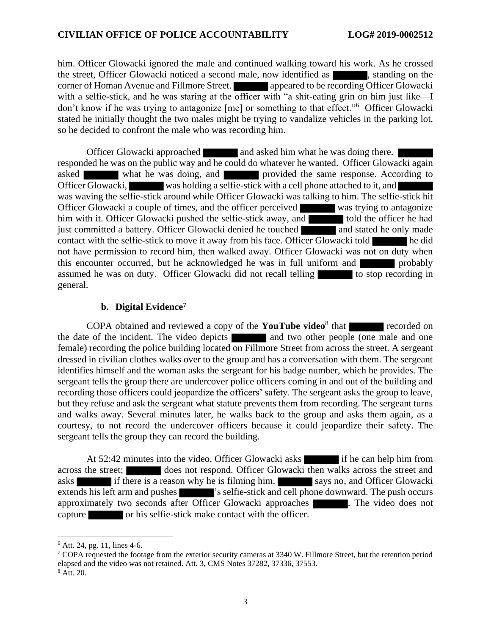him. Officer Glowacki ignored the male and continued walking toward his work. As he crossed the street, Officer Glowacki noticed a second male, now identified as  $\blacksquare$ , standing on the corner of Homan Avenue and Fillmore Street. **All appeared to be recording Officer Glowacki** with a selfie-stick, and he was staring at the officer with "a shit-eating grin on him just like—I don't know if he was trying to antagonize [me] or something to that effect."<sup>6</sup> Officer Glowacki stated he initially thought the two males might be trying to vandalize vehicles in the parking lot, so he decided to confront the male who was recording him.

Officer Glowacki approached and asked him what he was doing there. responded he was on the public way and he could do whatever he wanted. Officer Glowacki again asked what he was doing, and provided the same response. According to Officer Glowacki, was holding a selfie-stick with a cell phone attached to it, and was waving the selfie-stick around while Officer Glowacki was talking to him. The selfie-stick hit Officer Glowacki a couple of times, and the officer perceived was trying to antagonize him with it. Officer Glowacki pushed the selfie-stick away, and told the officer he had just committed a battery. Officer Glowacki denied he touched and stated he only made contact with the selfie-stick to move it away from his face. Officer Glowacki told he did not have permission to record him, then walked away. Officer Glowacki was not on duty when this encounter occurred, but he acknowledged he was in full uniform and probably assumed he was on duty. Officer Glowacki did not recall telling to stop recording in general.

#### **b. Digital Evidence<sup>7</sup>**

COPA obtained and reviewed a copy of the **YouTube video**<sup>8</sup> that recorded on the date of the incident. The video depicts and two other people (one male and one female) recording the police building located on Fillmore Street from across the street. A sergeant dressed in civilian clothes walks over to the group and has a conversation with them. The sergeant identifies himself and the woman asks the sergeant for his badge number, which he provides. The sergeant tells the group there are undercover police officers coming in and out of the building and recording those officers could jeopardize the officers' safety. The sergeant asks the group to leave, but they refuse and ask the sergeant what statute prevents them from recording. The sergeant turns and walks away. Several minutes later, he walks back to the group and asks them again, as a courtesy, to not record the undercover officers because it could jeopardize their safety. The sergeant tells the group they can record the building.

At 52:42 minutes into the video, Officer Glowacki asks if he can help him from across the street; does not respond. Officer Glowacki then walks across the street and asks if there is a reason why he is filming him. Says no, and Officer Glowacki extends his left arm and pushes  $\blacksquare$  's selfie-stick and cell phone downward. The push occurs approximately two seconds after Officer Glowacki approaches . The video does not capture or his selfie-stick make contact with the officer.

 $6$  Att. 24, pg. 11, lines 4-6.

<sup>&</sup>lt;sup>7</sup> COPA requested the footage from the exterior security cameras at 3340 W. Fillmore Street, but the retention period elapsed and the video was not retained. Att. 3, CMS Notes 37282, 37336, 37553. <sup>8</sup> Att. 20.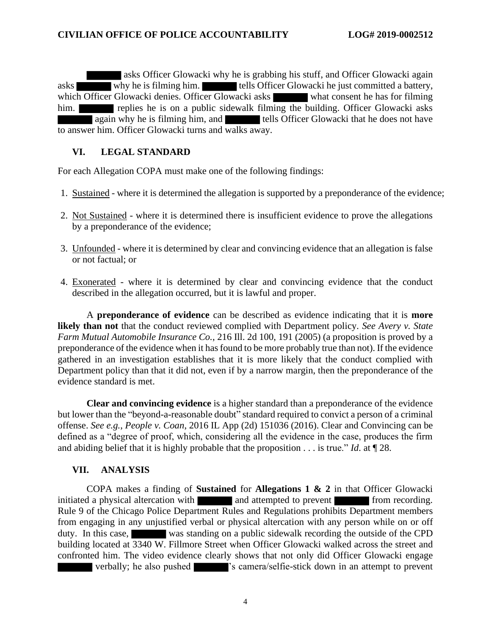asks Officer Glowacki why he is grabbing his stuff, and Officer Glowacki again asks why he is filming him. tells Officer Glowacki he just committed a battery, which Officer Glowacki denies. Officer Glowacki asks what consent he has for filming him. **replies he is on a public sidewalk filming the building. Officer Glowacki asks** again why he is filming him, and tells Officer Glowacki that he does not have to answer him. Officer Glowacki turns and walks away.

## **VI. LEGAL STANDARD**

For each Allegation COPA must make one of the following findings:

- 1. Sustained where it is determined the allegation is supported by a preponderance of the evidence;
- 2. Not Sustained where it is determined there is insufficient evidence to prove the allegations by a preponderance of the evidence;
- 3. Unfounded where it is determined by clear and convincing evidence that an allegation is false or not factual; or
- 4. Exonerated where it is determined by clear and convincing evidence that the conduct described in the allegation occurred, but it is lawful and proper.

A **preponderance of evidence** can be described as evidence indicating that it is **more likely than not** that the conduct reviewed complied with Department policy. *See Avery v. State Farm Mutual Automobile Insurance Co.*, 216 Ill. 2d 100, 191 (2005) (a proposition is proved by a preponderance of the evidence when it has found to be more probably true than not). If the evidence gathered in an investigation establishes that it is more likely that the conduct complied with Department policy than that it did not, even if by a narrow margin, then the preponderance of the evidence standard is met.

**Clear and convincing evidence** is a higher standard than a preponderance of the evidence but lower than the "beyond-a-reasonable doubt" standard required to convict a person of a criminal offense. *See e.g.*, *People v. Coan*, 2016 IL App (2d) 151036 (2016). Clear and Convincing can be defined as a "degree of proof, which, considering all the evidence in the case, produces the firm and abiding belief that it is highly probable that the proposition . . . is true." *Id*. at ¶ 28.

## **VII. ANALYSIS**

COPA makes a finding of **Sustained** for **Allegations 1 & 2** in that Officer Glowacki initiated a physical altercation with and attempted to prevent from recording. Rule 9 of the Chicago Police Department Rules and Regulations prohibits Department members from engaging in any unjustified verbal or physical altercation with any person while on or off duty. In this case, was standing on a public sidewalk recording the outside of the CPD building located at 3340 W. Fillmore Street when Officer Glowacki walked across the street and confronted him. The video evidence clearly shows that not only did Officer Glowacki engage verbally; he also pushed  $\blacksquare$  's camera/selfie-stick down in an attempt to prevent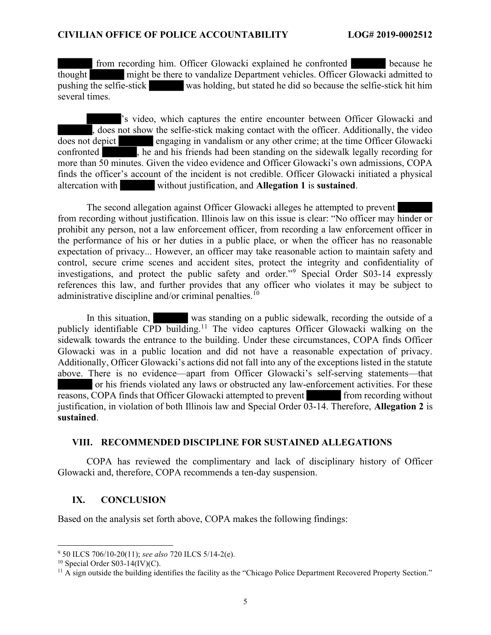from recording him. Officer Glowacki explained he confronted because he thought might be there to vandalize Department vehicles. Officer Glowacki admitted to pushing the selfie-stick was holding, but stated he did so because the selfie-stick hit him several times.

's video, which captures the entire encounter between Officer Glowacki and , does not show the selfie-stick making contact with the officer. Additionally, the video does not depict engaging in vandalism or any other crime; at the time Officer Glowacki confronted , he and his friends had been standing on the sidewalk legally recording for more than 50 minutes. Given the video evidence and Officer Glowacki's own admissions, COPA finds the officer's account of the incident is not credible. Officer Glowacki initiated a physical altercation with without justification, and **Allegation 1** is **sustained**.

The second allegation against Officer Glowacki alleges he attempted to prevent from recording without justification. Illinois law on this issue is clear: "No officer may hinder or prohibit any person, not a law enforcement officer, from recording a law enforcement officer in the performance of his or her duties in a public place, or when the officer has no reasonable expectation of privacy... However, an officer may take reasonable action to maintain safety and control, secure crime scenes and accident sites, protect the integrity and confidentiality of investigations, and protect the public safety and order."<sup>9</sup> Special Order S03-14 expressly references this law, and further provides that any officer who violates it may be subject to administrative discipline and/or criminal penalties.<sup>10</sup>

In this situation, was standing on a public sidewalk, recording the outside of a publicly identifiable CPD building.<sup>11</sup> The video captures Officer Glowacki walking on the sidewalk towards the entrance to the building. Under these circumstances, COPA finds Officer Glowacki was in a public location and did not have a reasonable expectation of privacy. Additionally, Officer Glowacki's actions did not fall into any of the exceptions listed in the statute above. There is no evidence—apart from Officer Glowacki's self-serving statements—that or his friends violated any laws or obstructed any law-enforcement activities. For these reasons, COPA finds that Officer Glowacki attempted to prevent from recording without justification, in violation of both Illinois law and Special Order 03-14. Therefore, Allegation 2 is sustained.

### VIII. RECOMMENDED DISCIPLINE FOR SUSTAINED ALLEGATIONS

COPA has reviewed the complimentary and lack of disciplinary history of Officer Glowacki and, therefore, COPA recommends a ten-day suspension.

### IX. CONCLUSION

Based on the analysis set forth above, COPA makes the following findings:

<sup>&</sup>lt;sup>9</sup> 50 ILCS 706/10-20(11); see also 720 ILCS 5/14-2(e).

 $10$  Special Order S03-14(IV)(C).

 $11$  A sign outside the building identifies the facility as the "Chicago Police Department Recovered Property Section."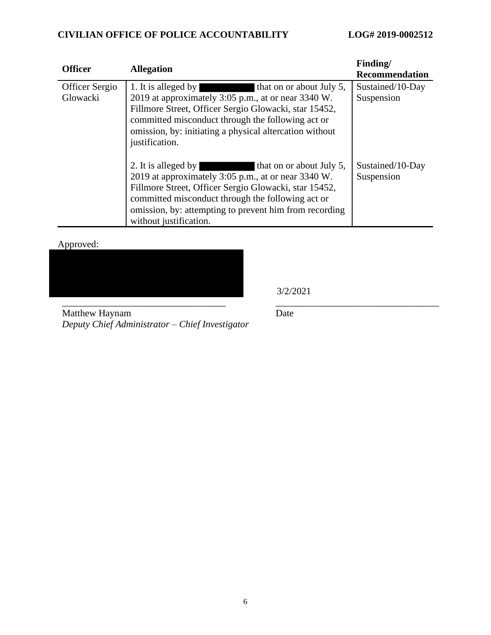| <b>Officer</b>             | <b>Allegation</b>                                                                                                                                                                                                                                                                                     | Finding/<br><b>Recommendation</b> |
|----------------------------|-------------------------------------------------------------------------------------------------------------------------------------------------------------------------------------------------------------------------------------------------------------------------------------------------------|-----------------------------------|
| Officer Sergio<br>Glowacki | 1. It is alleged by that on or about July 5,<br>2019 at approximately 3:05 p.m., at or near 3340 W.<br>Fillmore Street, Officer Sergio Glowacki, star 15452,<br>committed misconduct through the following act or<br>omission, by: initiating a physical altercation without<br>justification.        | Sustained/10-Day<br>Suspension    |
|                            | 2. It is alleged by that on or about July 5,<br>2019 at approximately 3:05 p.m., at or near 3340 W.<br>Fillmore Street, Officer Sergio Glowacki, star 15452,<br>committed misconduct through the following act or<br>omission, by: attempting to prevent him from recording<br>without justification. | Sustained/10-Day<br>Suspension    |

Approved:



3/2/2021

Matthew Haynam *Deputy Chief Administrator – Chief Investigator* Date